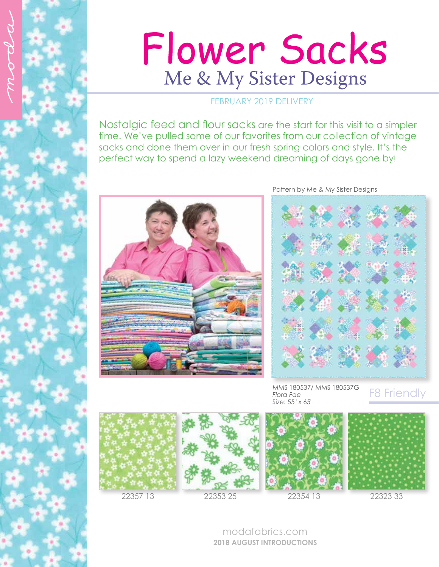

## Flower Sacks Me & My Sister Designs

## FEBRUARY 2019 DELIVERY

Nostalgic feed and flour sacks are the start for this visit to a simpler time. We've pulled some of our favorites from our collection of vintage sacks and done them over in our fresh spring colors and style. It's the perfect way to spend a lazy weekend dreaming of days gone by!



Pattern by Me & My Sister Designs



MMS 180537/ MMS 180537G *Flora Fae* Size: 55" x 65"

## F8 Friendly







modafabrics.com **2018 AUGUST INTRODUCTIONS**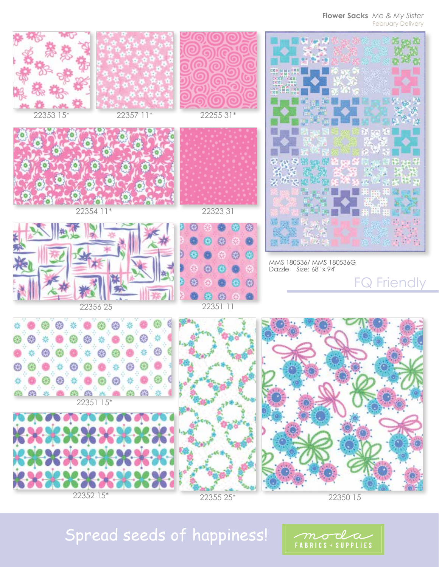**Flower Sacks** *Me & My Sister* February Delivery



22352 15\*



22350 15

moda FABRICS + SUPPLIES

## Spread seeds of happiness!